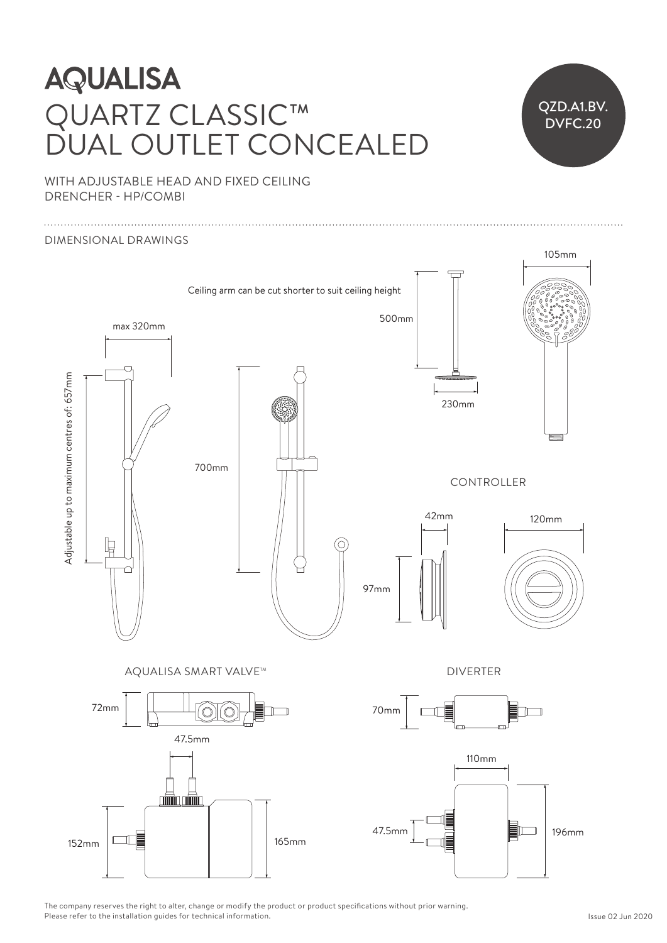## **AQUALISA** QUARTZ CLASSIC™ DUAL OUTLET CONCEALED



WITH ADJUSTABLE HEAD AND FIXED CEILING DRENCHER - HP/COMBI Ceiling arm can be cut shorter to suit ceiling height



The company reserves the right to alter, change or modify the product or product specifications without prior warning. Please refer to the installation guides for technical information.